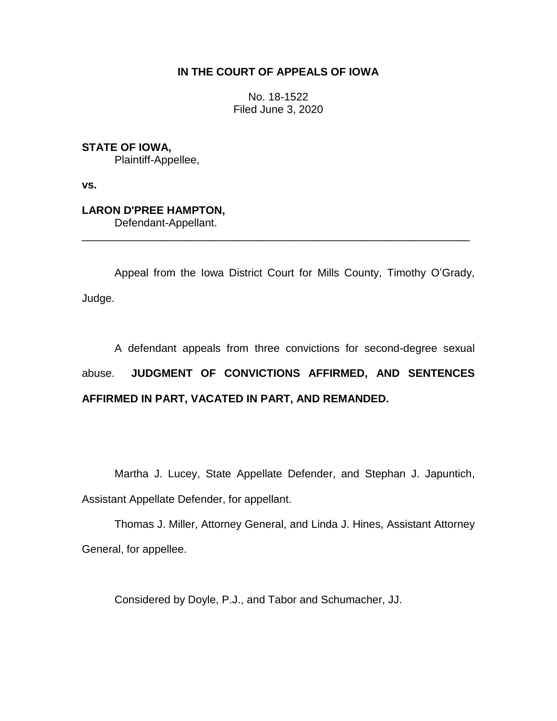# **IN THE COURT OF APPEALS OF IOWA**

No. 18-1522 Filed June 3, 2020

**STATE OF IOWA,**

Plaintiff-Appellee,

**vs.**

**LARON D'PREE HAMPTON,**

Defendant-Appellant.

Appeal from the Iowa District Court for Mills County, Timothy O'Grady, Judge.

\_\_\_\_\_\_\_\_\_\_\_\_\_\_\_\_\_\_\_\_\_\_\_\_\_\_\_\_\_\_\_\_\_\_\_\_\_\_\_\_\_\_\_\_\_\_\_\_\_\_\_\_\_\_\_\_\_\_\_\_\_\_\_\_

A defendant appeals from three convictions for second-degree sexual abuse. **JUDGMENT OF CONVICTIONS AFFIRMED, AND SENTENCES AFFIRMED IN PART, VACATED IN PART, AND REMANDED.**

Martha J. Lucey, State Appellate Defender, and Stephan J. Japuntich, Assistant Appellate Defender, for appellant.

Thomas J. Miller, Attorney General, and Linda J. Hines, Assistant Attorney General, for appellee.

Considered by Doyle, P.J., and Tabor and Schumacher, JJ.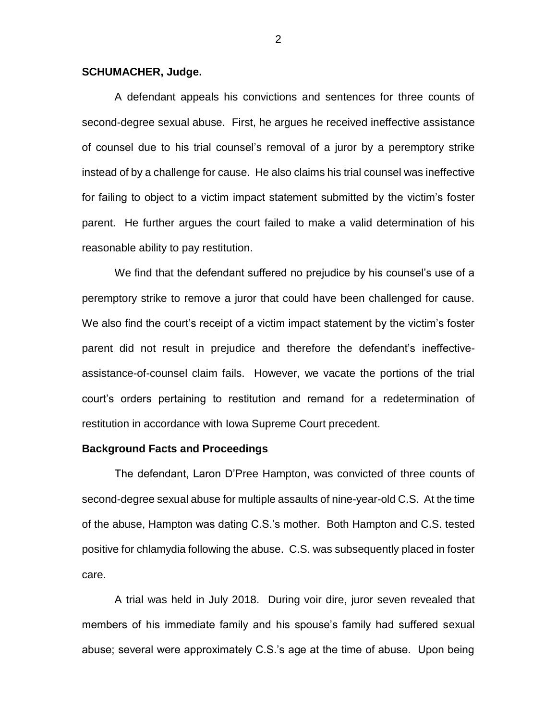### **SCHUMACHER, Judge.**

A defendant appeals his convictions and sentences for three counts of second-degree sexual abuse. First, he argues he received ineffective assistance of counsel due to his trial counsel's removal of a juror by a peremptory strike instead of by a challenge for cause. He also claims his trial counsel was ineffective for failing to object to a victim impact statement submitted by the victim's foster parent. He further argues the court failed to make a valid determination of his reasonable ability to pay restitution.

We find that the defendant suffered no prejudice by his counsel's use of a peremptory strike to remove a juror that could have been challenged for cause. We also find the court's receipt of a victim impact statement by the victim's foster parent did not result in prejudice and therefore the defendant's ineffectiveassistance-of-counsel claim fails. However, we vacate the portions of the trial court's orders pertaining to restitution and remand for a redetermination of restitution in accordance with Iowa Supreme Court precedent.

### **Background Facts and Proceedings**

The defendant, Laron D'Pree Hampton, was convicted of three counts of second-degree sexual abuse for multiple assaults of nine-year-old C.S. At the time of the abuse, Hampton was dating C.S.'s mother. Both Hampton and C.S. tested positive for chlamydia following the abuse. C.S. was subsequently placed in foster care.

A trial was held in July 2018. During voir dire, juror seven revealed that members of his immediate family and his spouse's family had suffered sexual abuse; several were approximately C.S.'s age at the time of abuse. Upon being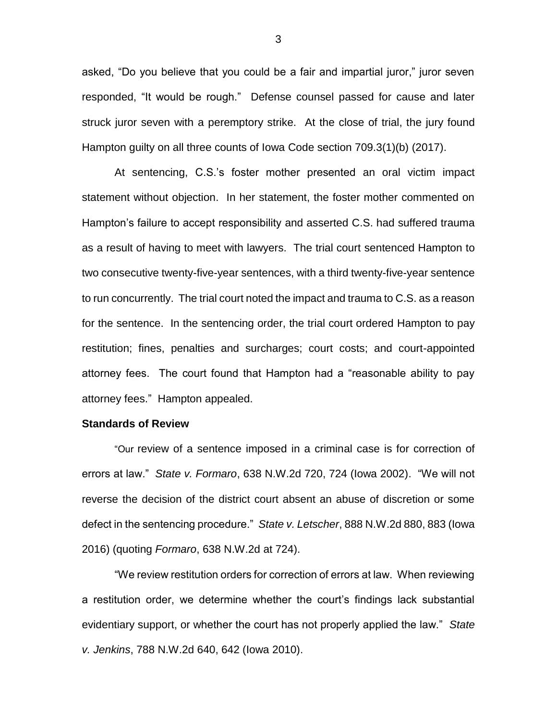asked, "Do you believe that you could be a fair and impartial juror," juror seven responded, "It would be rough." Defense counsel passed for cause and later struck juror seven with a peremptory strike. At the close of trial, the jury found Hampton guilty on all three counts of Iowa Code section 709.3(1)(b) (2017).

At sentencing, C.S.'s foster mother presented an oral victim impact statement without objection. In her statement, the foster mother commented on Hampton's failure to accept responsibility and asserted C.S. had suffered trauma as a result of having to meet with lawyers. The trial court sentenced Hampton to two consecutive twenty-five-year sentences, with a third twenty-five-year sentence to run concurrently. The trial court noted the impact and trauma to C.S. as a reason for the sentence. In the sentencing order, the trial court ordered Hampton to pay restitution; fines, penalties and surcharges; court costs; and court-appointed attorney fees. The court found that Hampton had a "reasonable ability to pay attorney fees." Hampton appealed.

#### **Standards of Review**

"Our review of a sentence imposed in a criminal case is for correction of errors at law." *State v. Formaro*, 638 N.W.2d 720, 724 (Iowa 2002). "We will not reverse the decision of the district court absent an abuse of discretion or some defect in the sentencing procedure." *State v. Letscher*, 888 N.W.2d 880, 883 (Iowa 2016) (quoting *Formaro*, 638 N.W.2d at 724).

"We review restitution orders for correction of errors at law. When reviewing a restitution order, we determine whether the court's findings lack substantial evidentiary support, or whether the court has not properly applied the law." *State v. Jenkins*, 788 N.W.2d 640, 642 (Iowa 2010).

3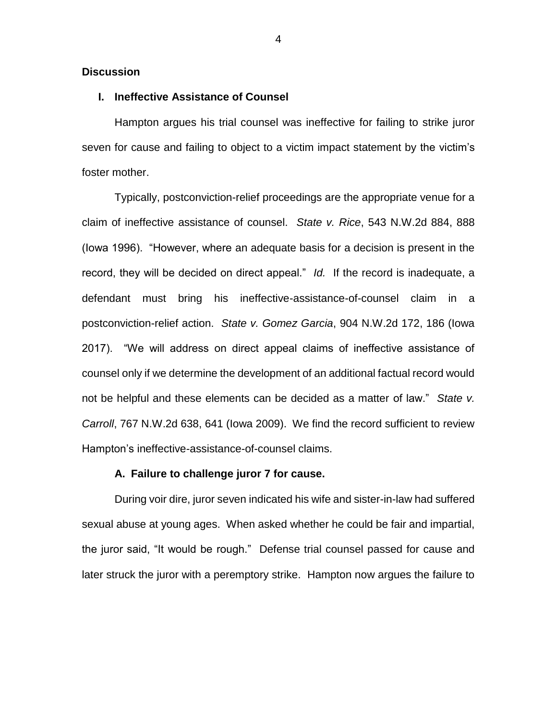## **Discussion**

## **I. Ineffective Assistance of Counsel**

Hampton argues his trial counsel was ineffective for failing to strike juror seven for cause and failing to object to a victim impact statement by the victim's foster mother.

Typically, postconviction-relief proceedings are the appropriate venue for a claim of ineffective assistance of counsel. *State v. Rice*, 543 N.W.2d 884, 888 (Iowa 1996). "However, where an adequate basis for a decision is present in the record, they will be decided on direct appeal." *Id.* If the record is inadequate, a defendant must bring his ineffective-assistance-of-counsel claim in a postconviction-relief action. *State v. Gomez Garcia*, 904 N.W.2d 172, 186 (Iowa 2017). "We will address on direct appeal claims of ineffective assistance of counsel only if we determine the development of an additional factual record would not be helpful and these elements can be decided as a matter of law." *State v. Carroll*, 767 N.W.2d 638, 641 (Iowa 2009). We find the record sufficient to review Hampton's ineffective-assistance-of-counsel claims.

### **A. Failure to challenge juror 7 for cause.**

During voir dire, juror seven indicated his wife and sister-in-law had suffered sexual abuse at young ages. When asked whether he could be fair and impartial, the juror said, "It would be rough." Defense trial counsel passed for cause and later struck the juror with a peremptory strike. Hampton now argues the failure to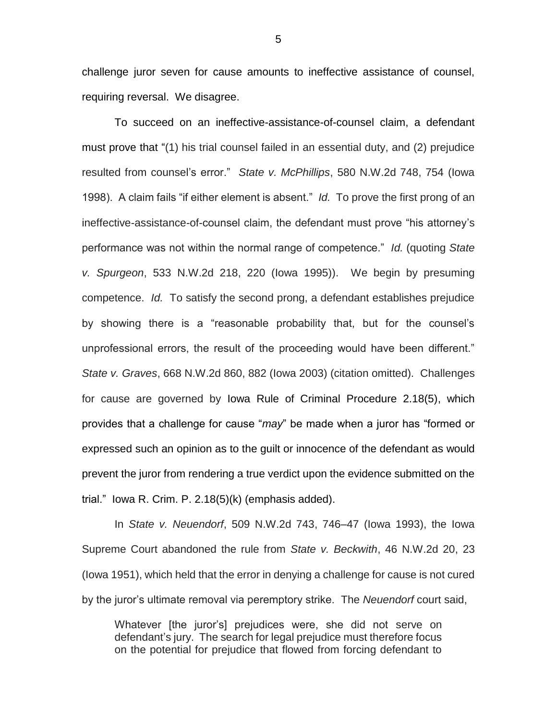challenge juror seven for cause amounts to ineffective assistance of counsel, requiring reversal. We disagree.

To succeed on an ineffective-assistance-of-counsel claim, a defendant must prove that "(1) his trial counsel failed in an essential duty, and (2) prejudice resulted from counsel's error." *State v. McPhillips*, 580 N.W.2d 748, 754 (Iowa 1998). A claim fails "if either element is absent." *Id.* To prove the first prong of an ineffective-assistance-of-counsel claim, the defendant must prove "his attorney's performance was not within the normal range of competence." *Id.* (quoting *State v. Spurgeon*, 533 N.W.2d 218, 220 (Iowa 1995)). We begin by presuming competence. *Id.* To satisfy the second prong, a defendant establishes prejudice by showing there is a "reasonable probability that, but for the counsel's unprofessional errors, the result of the proceeding would have been different." *State v. Graves*, 668 N.W.2d 860, 882 (Iowa 2003) (citation omitted). Challenges for cause are governed by Iowa Rule of Criminal Procedure 2.18(5), which provides that a challenge for cause "*may*" be made when a juror has "formed or expressed such an opinion as to the guilt or innocence of the defendant as would prevent the juror from rendering a true verdict upon the evidence submitted on the trial." Iowa R. Crim. P. 2.18(5)(k) (emphasis added).

In *State v. Neuendorf*, 509 N.W.2d 743, 746–47 (Iowa 1993), the Iowa Supreme Court abandoned the rule from *State v. Beckwith*, 46 N.W.2d 20, 23 (Iowa 1951), which held that the error in denying a challenge for cause is not cured by the juror's ultimate removal via peremptory strike. The *Neuendorf* court said,

Whatever [the juror's] prejudices were, she did not serve on defendant's jury. The search for legal prejudice must therefore focus on the potential for prejudice that flowed from forcing defendant to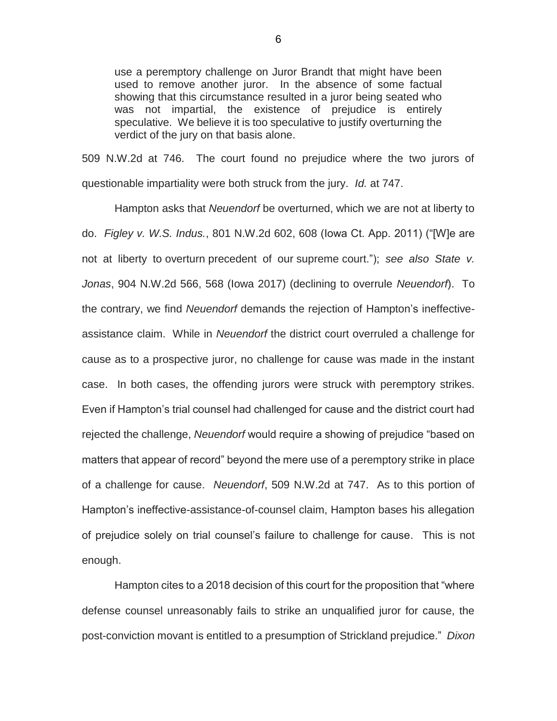use a peremptory challenge on Juror Brandt that might have been used to remove another juror. In the absence of some factual showing that this circumstance resulted in a juror being seated who was not impartial, the existence of prejudice is entirely speculative. We believe it is too speculative to justify overturning the verdict of the jury on that basis alone.

509 N.W.2d at 746. The court found no prejudice where the two jurors of questionable impartiality were both struck from the jury. *Id.* at 747.

Hampton asks that *Neuendorf* be overturned, which we are not at liberty to do. *Figley v. W.S. Indus.*, 801 N.W.2d 602, 608 (Iowa Ct. App. 2011) ("[W]e are not at liberty to overturn precedent of our supreme court."); *see also State v. Jonas*, 904 N.W.2d 566, 568 (Iowa 2017) (declining to overrule *Neuendorf*). To the contrary, we find *Neuendorf* demands the rejection of Hampton's ineffectiveassistance claim. While in *Neuendorf* the district court overruled a challenge for cause as to a prospective juror, no challenge for cause was made in the instant case. In both cases, the offending jurors were struck with peremptory strikes. Even if Hampton's trial counsel had challenged for cause and the district court had rejected the challenge, *Neuendorf* would require a showing of prejudice "based on matters that appear of record" beyond the mere use of a peremptory strike in place of a challenge for cause. *Neuendorf*, 509 N.W.2d at 747. As to this portion of Hampton's ineffective-assistance-of-counsel claim, Hampton bases his allegation of prejudice solely on trial counsel's failure to challenge for cause. This is not enough.

Hampton cites to a 2018 decision of this court for the proposition that "where defense counsel unreasonably fails to strike an unqualified juror for cause, the post-conviction movant is entitled to a presumption of Strickland prejudice." *Dixon*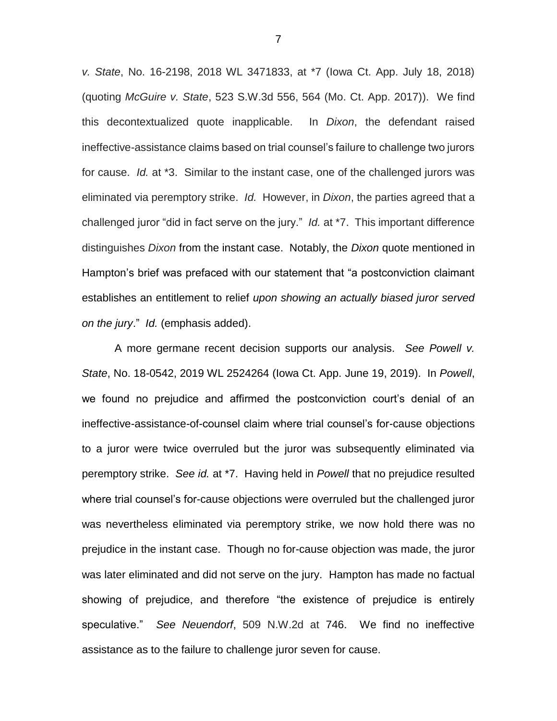*v. State*, No. 16-2198, 2018 WL 3471833, at \*7 (Iowa Ct. App. July 18, 2018) (quoting *McGuire v. State*, 523 S.W.3d 556, 564 (Mo. Ct. App. 2017)). We find this decontextualized quote inapplicable. In *Dixon*, the defendant raised ineffective-assistance claims based on trial counsel's failure to challenge two jurors for cause. *Id.* at \*3. Similar to the instant case, one of the challenged jurors was eliminated via peremptory strike. *Id.* However, in *Dixon*, the parties agreed that a challenged juror "did in fact serve on the jury." *Id.* at \*7. This important difference distinguishes *Dixon* from the instant case. Notably, the *Dixon* quote mentioned in Hampton's brief was prefaced with our statement that "a postconviction claimant establishes an entitlement to relief *upon showing an actually biased juror served on the jury*." *Id.* (emphasis added).

A more germane recent decision supports our analysis. *See Powell v. State*, No. 18-0542, 2019 WL 2524264 (Iowa Ct. App. June 19, 2019). In *Powell*, we found no prejudice and affirmed the postconviction court's denial of an ineffective-assistance-of-counsel claim where trial counsel's for-cause objections to a juror were twice overruled but the juror was subsequently eliminated via peremptory strike. *See id.* at \*7. Having held in *Powell* that no prejudice resulted where trial counsel's for-cause objections were overruled but the challenged juror was nevertheless eliminated via peremptory strike, we now hold there was no prejudice in the instant case. Though no for-cause objection was made, the juror was later eliminated and did not serve on the jury. Hampton has made no factual showing of prejudice, and therefore "the existence of prejudice is entirely speculative." *See Neuendorf*, 509 N.W.2d at 746. We find no ineffective assistance as to the failure to challenge juror seven for cause.

7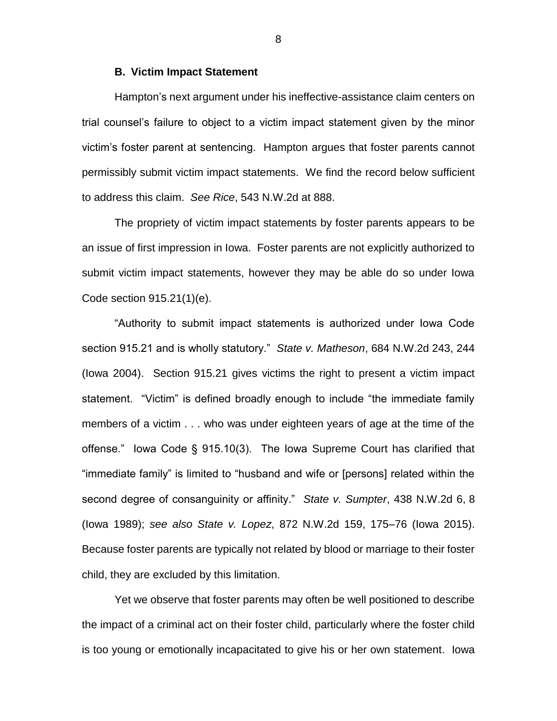#### **B. Victim Impact Statement**

Hampton's next argument under his ineffective-assistance claim centers on trial counsel's failure to object to a victim impact statement given by the minor victim's foster parent at sentencing. Hampton argues that foster parents cannot permissibly submit victim impact statements. We find the record below sufficient to address this claim. *See Rice*, 543 N.W.2d at 888.

The propriety of victim impact statements by foster parents appears to be an issue of first impression in Iowa. Foster parents are not explicitly authorized to submit victim impact statements, however they may be able do so under Iowa Code section 915.21(1)(e).

"Authority to submit impact statements is authorized under Iowa Code section 915.21 and is wholly statutory." *State v. Matheson*, 684 N.W.2d 243, 244 (Iowa 2004). Section 915.21 gives victims the right to present a victim impact statement. "Victim" is defined broadly enough to include "the immediate family members of a victim . . . who was under eighteen years of age at the time of the offense." Iowa Code § 915.10(3). The Iowa Supreme Court has clarified that "immediate family" is limited to "husband and wife or [persons] related within the second degree of consanguinity or affinity." *State v. Sumpter*, 438 N.W.2d 6, 8 (Iowa 1989); *see also State v. Lopez*, 872 N.W.2d 159, 175–76 (Iowa 2015). Because foster parents are typically not related by blood or marriage to their foster child, they are excluded by this limitation.

Yet we observe that foster parents may often be well positioned to describe the impact of a criminal act on their foster child, particularly where the foster child is too young or emotionally incapacitated to give his or her own statement. Iowa

8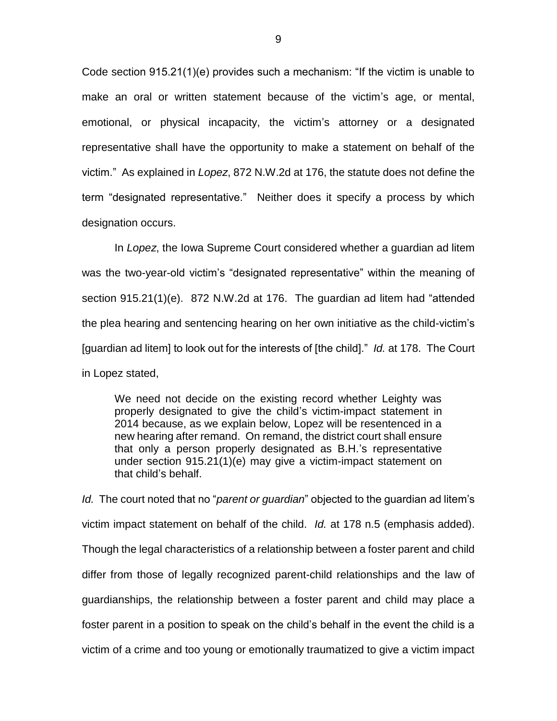Code section 915.21(1)(e) provides such a mechanism: "If the victim is unable to make an oral or written statement because of the victim's age, or mental, emotional, or physical incapacity, the victim's attorney or a designated representative shall have the opportunity to make a statement on behalf of the victim." As explained in *Lopez*, 872 N.W.2d at 176, the statute does not define the term "designated representative." Neither does it specify a process by which designation occurs.

In *Lopez*, the Iowa Supreme Court considered whether a guardian ad litem was the two-year-old victim's "designated representative" within the meaning of section 915.21(1)(e). 872 N.W.2d at 176. The guardian ad litem had "attended the plea hearing and sentencing hearing on her own initiative as the child-victim's [guardian ad litem] to look out for the interests of [the child]." *Id.* at 178. The Court in Lopez stated,

We need not decide on the existing record whether Leighty was properly designated to give the child's victim-impact statement in 2014 because, as we explain below, Lopez will be resentenced in a new hearing after remand. On remand, the district court shall ensure that only a person properly designated as B.H.'s representative under section 915.21(1)(e) may give a victim-impact statement on that child's behalf.

*Id.* The court noted that no "*parent or guardian*" objected to the guardian ad litem's victim impact statement on behalf of the child. *Id.* at 178 n.5 (emphasis added). Though the legal characteristics of a relationship between a foster parent and child differ from those of legally recognized parent-child relationships and the law of guardianships, the relationship between a foster parent and child may place a foster parent in a position to speak on the child's behalf in the event the child is a victim of a crime and too young or emotionally traumatized to give a victim impact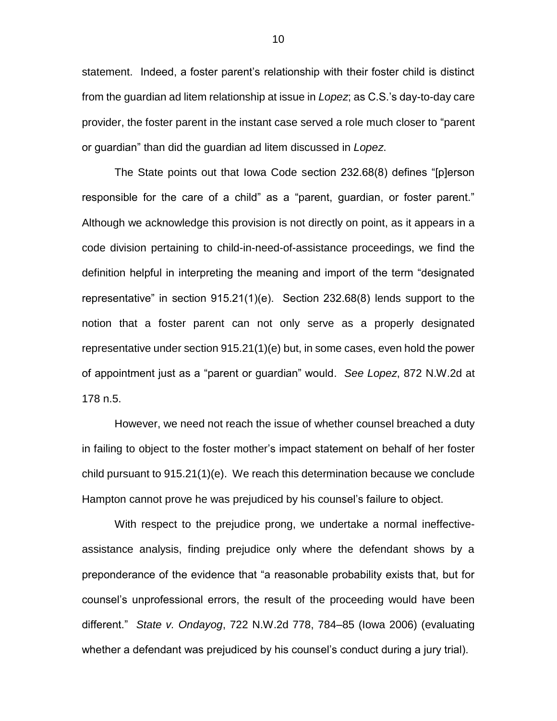statement. Indeed, a foster parent's relationship with their foster child is distinct from the guardian ad litem relationship at issue in *Lopez*; as C.S.'s day-to-day care provider, the foster parent in the instant case served a role much closer to "parent or guardian" than did the guardian ad litem discussed in *Lopez*.

The State points out that Iowa Code section 232.68(8) defines "[p]erson responsible for the care of a child" as a "parent, guardian, or foster parent." Although we acknowledge this provision is not directly on point, as it appears in a code division pertaining to child-in-need-of-assistance proceedings, we find the definition helpful in interpreting the meaning and import of the term "designated representative" in section 915.21(1)(e). Section 232.68(8) lends support to the notion that a foster parent can not only serve as a properly designated representative under section 915.21(1)(e) but, in some cases, even hold the power of appointment just as a "parent or guardian" would. *See Lopez*, 872 N.W.2d at 178 n.5.

However, we need not reach the issue of whether counsel breached a duty in failing to object to the foster mother's impact statement on behalf of her foster child pursuant to 915.21(1)(e). We reach this determination because we conclude Hampton cannot prove he was prejudiced by his counsel's failure to object.

With respect to the prejudice prong, we undertake a normal ineffectiveassistance analysis, finding prejudice only where the defendant shows by a preponderance of the evidence that "a reasonable probability exists that, but for counsel's unprofessional errors, the result of the proceeding would have been different." *State v. Ondayog*, 722 N.W.2d 778, 784–85 (Iowa 2006) (evaluating whether a defendant was prejudiced by his counsel's conduct during a jury trial).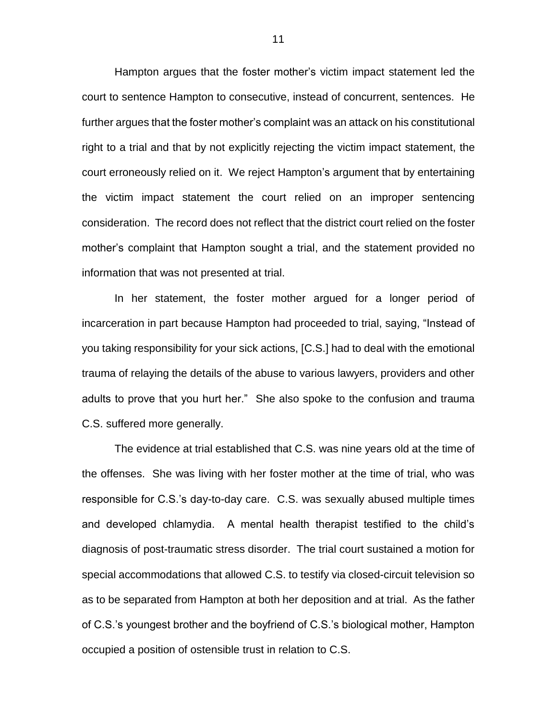Hampton argues that the foster mother's victim impact statement led the court to sentence Hampton to consecutive, instead of concurrent, sentences. He further argues that the foster mother's complaint was an attack on his constitutional right to a trial and that by not explicitly rejecting the victim impact statement, the court erroneously relied on it. We reject Hampton's argument that by entertaining the victim impact statement the court relied on an improper sentencing consideration. The record does not reflect that the district court relied on the foster mother's complaint that Hampton sought a trial, and the statement provided no information that was not presented at trial.

In her statement, the foster mother argued for a longer period of incarceration in part because Hampton had proceeded to trial, saying, "Instead of you taking responsibility for your sick actions, [C.S.] had to deal with the emotional trauma of relaying the details of the abuse to various lawyers, providers and other adults to prove that you hurt her." She also spoke to the confusion and trauma C.S. suffered more generally.

The evidence at trial established that C.S. was nine years old at the time of the offenses. She was living with her foster mother at the time of trial, who was responsible for C.S.'s day-to-day care. C.S. was sexually abused multiple times and developed chlamydia. A mental health therapist testified to the child's diagnosis of post-traumatic stress disorder. The trial court sustained a motion for special accommodations that allowed C.S. to testify via closed-circuit television so as to be separated from Hampton at both her deposition and at trial. As the father of C.S.'s youngest brother and the boyfriend of C.S.'s biological mother, Hampton occupied a position of ostensible trust in relation to C.S.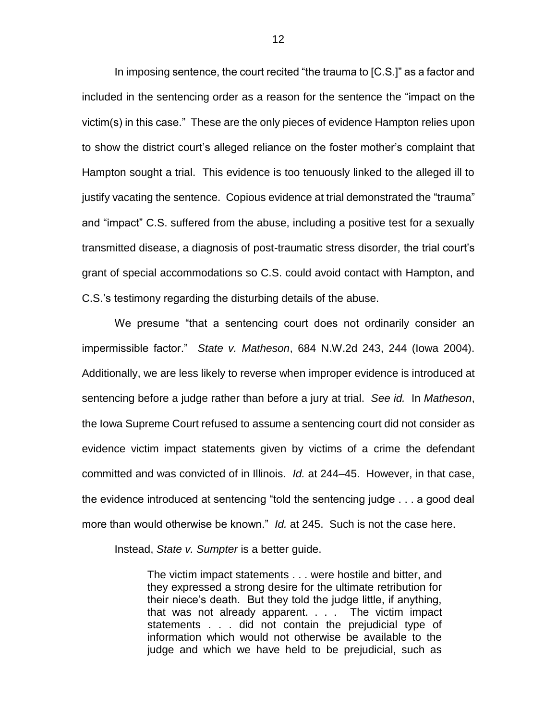In imposing sentence, the court recited "the trauma to [C.S.]" as a factor and included in the sentencing order as a reason for the sentence the "impact on the victim(s) in this case." These are the only pieces of evidence Hampton relies upon to show the district court's alleged reliance on the foster mother's complaint that Hampton sought a trial. This evidence is too tenuously linked to the alleged ill to justify vacating the sentence. Copious evidence at trial demonstrated the "trauma" and "impact" C.S. suffered from the abuse, including a positive test for a sexually transmitted disease, a diagnosis of post-traumatic stress disorder, the trial court's grant of special accommodations so C.S. could avoid contact with Hampton, and C.S.'s testimony regarding the disturbing details of the abuse.

We presume "that a sentencing court does not ordinarily consider an impermissible factor." *State v. Matheson*, 684 N.W.2d 243, 244 (Iowa 2004). Additionally, we are less likely to reverse when improper evidence is introduced at sentencing before a judge rather than before a jury at trial. *See id.* In *Matheson*, the Iowa Supreme Court refused to assume a sentencing court did not consider as evidence victim impact statements given by victims of a crime the defendant committed and was convicted of in Illinois. *Id.* at 244–45. However, in that case, the evidence introduced at sentencing "told the sentencing judge . . . a good deal more than would otherwise be known." *Id.* at 245. Such is not the case here.

Instead, *State v. Sumpter* is a better guide.

The victim impact statements . . . were hostile and bitter, and they expressed a strong desire for the ultimate retribution for their niece's death. But they told the judge little, if anything, that was not already apparent. . . . The victim impact statements . . . did not contain the prejudicial type of information which would not otherwise be available to the judge and which we have held to be prejudicial, such as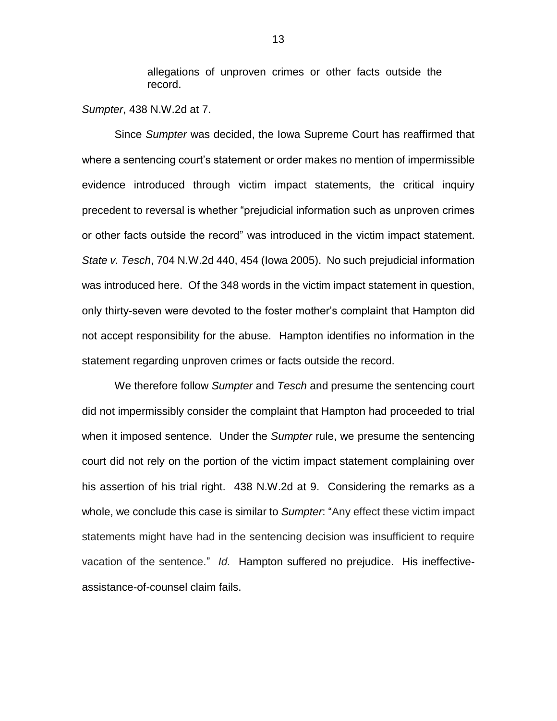allegations of unproven crimes or other facts outside the record.

*Sumpter*, 438 N.W.2d at 7.

Since *Sumpter* was decided, the Iowa Supreme Court has reaffirmed that where a sentencing court's statement or order makes no mention of impermissible evidence introduced through victim impact statements, the critical inquiry precedent to reversal is whether "prejudicial information such as unproven crimes or other facts outside the record" was introduced in the victim impact statement. *State v. Tesch*, 704 N.W.2d 440, 454 (Iowa 2005). No such prejudicial information was introduced here. Of the 348 words in the victim impact statement in question, only thirty-seven were devoted to the foster mother's complaint that Hampton did not accept responsibility for the abuse. Hampton identifies no information in the statement regarding unproven crimes or facts outside the record.

We therefore follow *Sumpter* and *Tesch* and presume the sentencing court did not impermissibly consider the complaint that Hampton had proceeded to trial when it imposed sentence. Under the *Sumpter* rule, we presume the sentencing court did not rely on the portion of the victim impact statement complaining over his assertion of his trial right. 438 N.W.2d at 9. Considering the remarks as a whole, we conclude this case is similar to *Sumpter*: "Any effect these victim impact statements might have had in the sentencing decision was insufficient to require vacation of the sentence." *Id.* Hampton suffered no prejudice. His ineffectiveassistance-of-counsel claim fails.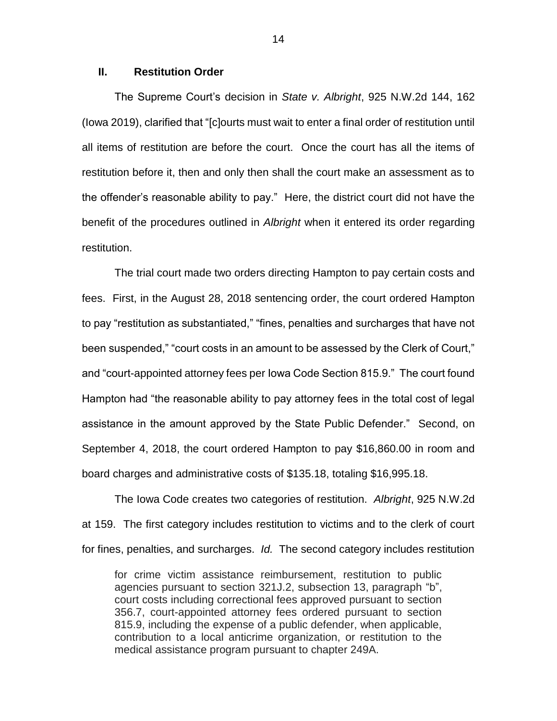## **II. Restitution Order**

The Supreme Court's decision in *State v. Albright*, 925 N.W.2d 144, 162 (Iowa 2019), clarified that "[c]ourts must wait to enter a final order of restitution until all items of restitution are before the court. Once the court has all the items of restitution before it, then and only then shall the court make an assessment as to the offender's reasonable ability to pay." Here, the district court did not have the benefit of the procedures outlined in *Albright* when it entered its order regarding restitution.

The trial court made two orders directing Hampton to pay certain costs and fees. First, in the August 28, 2018 sentencing order, the court ordered Hampton to pay "restitution as substantiated," "fines, penalties and surcharges that have not been suspended," "court costs in an amount to be assessed by the Clerk of Court," and "court-appointed attorney fees per Iowa Code Section 815.9." The court found Hampton had "the reasonable ability to pay attorney fees in the total cost of legal assistance in the amount approved by the State Public Defender." Second, on September 4, 2018, the court ordered Hampton to pay \$16,860.00 in room and board charges and administrative costs of \$135.18, totaling \$16,995.18.

The Iowa Code creates two categories of restitution. *Albright*, 925 N.W.2d at 159. The first category includes restitution to victims and to the clerk of court for fines, penalties, and surcharges. *Id.* The second category includes restitution

for crime victim assistance reimbursement, restitution to public agencies pursuant to section 321J.2, subsection 13, paragraph "b", court costs including correctional fees approved pursuant to section 356.7, court-appointed attorney fees ordered pursuant to section 815.9, including the expense of a public defender, when applicable, contribution to a local anticrime organization, or restitution to the medical assistance program pursuant to chapter 249A.